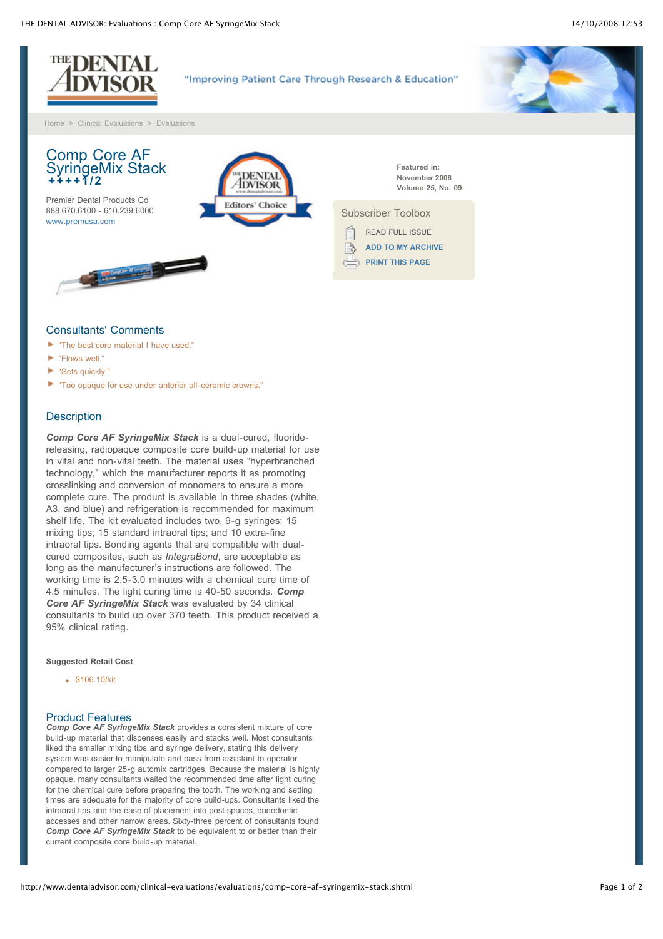

- **The best core material I have used.**"
- "Flows well."
- ► "Sets quickly."
- "Too opaque for use under anterior all-ceramic crowns."

# **Description**

*Comp Core AF SyringeMix Stack* is a dual-cured, fluoridereleasing, radiopaque composite core build-up material for use in vital and non-vital teeth. The material uses "hyperbranched technology," which the manufacturer reports it as promoting crosslinking and conversion of monomers to ensure a more complete cure. The product is available in three shades (white, A3, and blue) and refrigeration is recommended for maximum shelf life. The kit evaluated includes two, 9-g syringes; 15 mixing tips; 15 standard intraoral tips; and 10 extra-fine intraoral tips. Bonding agents that are compatible with dualcured composites, such as *IntegraBond*, are acceptable as long as the manufacturer's instructions are followed. The working time is 2.5-3.0 minutes with a chemical cure time of 4.5 minutes. The light curing time is 40-50 seconds. *Comp Core AF SyringeMix Stack* was evaluated by 34 clinical consultants to build up over 370 teeth. This product received a 95% clinical rating.

### **Suggested Retail Cost**

• \$106.10/kit

## Product Features

*Comp Core AF SyringeMix Stack* provides a consistent mixture of core build-up material that dispenses easily and stacks well. Most consultants liked the smaller mixing tips and syringe delivery, stating this delivery system was easier to manipulate and pass from assistant to operator compared to larger 25-g automix cartridges. Because the material is highly opaque, many consultants waited the recommended time after light curing for the chemical cure before preparing the tooth. The working and setting times are adequate for the majority of core build-ups. Consultants liked the intraoral tips and the ease of placement into post spaces, endodontic accesses and other narrow areas. Sixty-three percent of consultants found *Comp Core AF SyringeMix Stack* to be equivalent to or better than their current composite core build-up material.